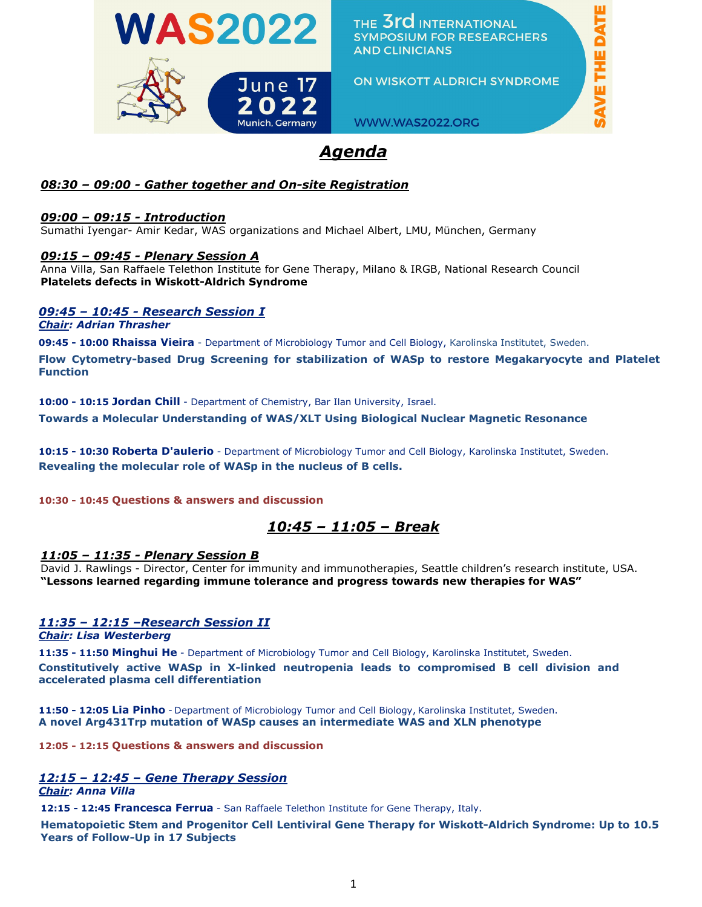

THE 3rd INTERNATIONAL **SYMPOSIUM FOR RESEARCHERS AND CLINICIANS** 

ON WISKOTT ALDRICH SYNDROME

WWW.WAS2022.ORG

# *Agenda*

### *08:30 – 09:00 - Gather together and On-site Registration*

### *09:00 – 09:15 - Introduction*

Sumathi Iyengar- Amir Kedar, WAS organizations and Michael Albert, LMU, München, Germany

### *09:15 – 09:45 - Plenary Session A*

Anna Villa, San Raffaele Telethon Institute for Gene Therapy, Milano & IRGB, National Research Council **Platelets defects in Wiskott-Aldrich Syndrome**

### *09:45 – 10:45 - Research Session I*

*Chair: Adrian Thrasher* 

**09:45 - 10:00 Rhaissa Vieira** - Department of Microbiology Tumor and Cell Biology, Karolinska Institutet, Sweden.

**Flow Cytometry-based Drug Screening for stabilization of WASp to restore Megakaryocyte and Platelet Function**

**10:00 - 10:15 Jordan Chill** - Department of Chemistry, Bar Ilan University, Israel.

**Towards a Molecular Understanding of WAS/XLT Using Biological Nuclear Magnetic Resonance**

**10:15 - 10:30 Roberta D'aulerio** - Department of Microbiology Tumor and Cell Biology, Karolinska Institutet, Sweden. **Revealing the molecular role of WASp in the nucleus of B cells.**

### **10:30 - 10:45 Questions & answers and discussion**

## *10:45 – 11:05 – Break*

### *11:05 – 11:35 - Plenary Session B*

David J. Rawlings - Director, Center for immunity and immunotherapies, Seattle children's research institute, USA. **"Lessons learned regarding immune tolerance and progress towards new therapies for WAS"**

### *11:35 – 12:15 –Research Session II*

*Chair: Lisa Westerberg*

**11:35 - 11:50 Minghui He** - Department of Microbiology Tumor and Cell Biology, Karolinska Institutet, Sweden. **Constitutively active WASp in X-linked neutropenia leads to compromised B cell division and accelerated plasma cell differentiation**

**11:50 - 12:05 Lia Pinho** - Department of Microbiology Tumor and Cell Biology, Karolinska Institutet, Sweden. **A novel Arg431Trp mutation of WASp causes an intermediate WAS and XLN phenotype** 

**12:05 - 12:15 Questions & answers and discussion**

# *12:15 – 12:45 – Gene Therapy Session*

*Chair: Anna Villa*

**12:15 - 12:45 Francesca Ferrua** - San Raffaele Telethon Institute for Gene Therapy, Italy.

**Hematopoietic Stem and Progenitor Cell Lentiviral Gene Therapy for Wiskott-Aldrich Syndrome: Up to 10.5 Years of Follow-Up in 17 Subjects**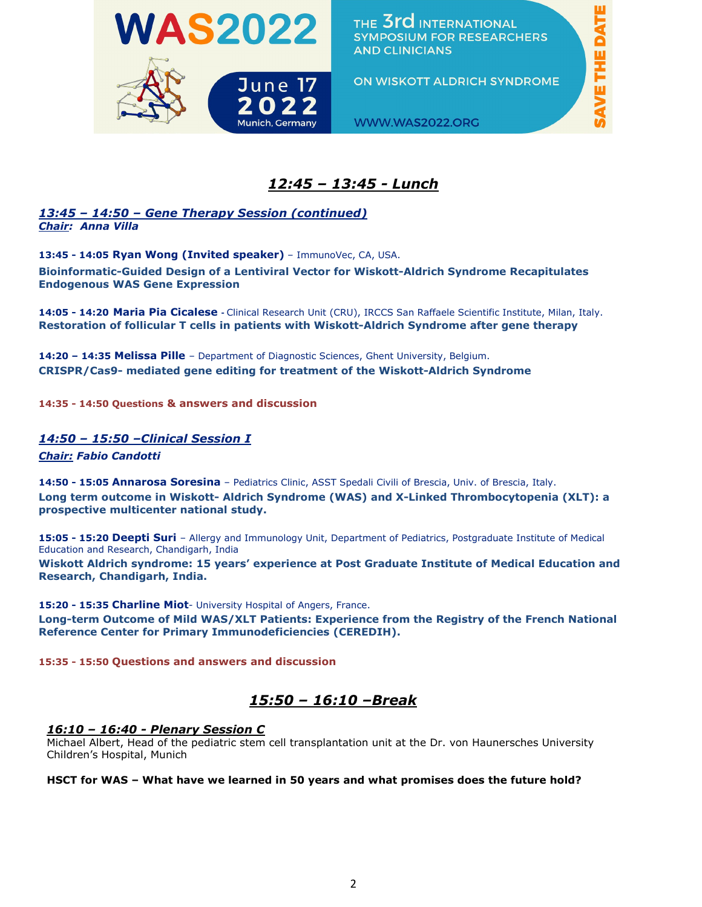



ON WISKOTT ALDRICH SYNDROME

**SAVE THE DATE** 

## *12:45 – 13:45 - Lunch*

### *13:45 – 14:50 – Gene Therapy Session (continued) Chair: Anna Villa*

**13:45 - 14:05 Ryan Wong (Invited speaker)** – ImmunoVec, CA, USA. **Bioinformatic-Guided Design of a Lentiviral Vector for Wiskott-Aldrich Syndrome Recapitulates Endogenous WAS Gene Expression**

**14:05 - 14:20 Maria Pia Cicalese -** Clinical Research Unit (CRU), IRCCS San Raffaele Scientific Institute, Milan, Italy. **Restoration of follicular T cells in patients with Wiskott-Aldrich Syndrome after gene therapy**

**14:20 – 14:35 Melissa Pille** – Department of Diagnostic Sciences, Ghent University, Belgium. **CRISPR/Cas9- mediated gene editing for treatment of the Wiskott-Aldrich Syndrome**

**14:35 - 14:50 Questions & answers and discussion**

### *14:50 – 15:50 –Clinical Session I*

*Chair: Fabio Candotti*

**14:50 - 15:05 Annarosa Soresina** – Pediatrics Clinic, ASST Spedali Civili of Brescia, Univ. of Brescia, Italy. **Long term outcome in Wiskott- Aldrich Syndrome (WAS) and X-Linked Thrombocytopenia (XLT): a prospective multicenter national study.** 

**15:05 - 15:20 Deepti Suri** – Allergy and Immunology Unit, Department of Pediatrics, Postgraduate Institute of Medical Education and Research, Chandigarh, India

**Wiskott Aldrich syndrome: 15 years' experience at Post Graduate Institute of Medical Education and Research, Chandigarh, India.**

**15:20 - 15:35 Charline Miot**- University Hospital of Angers, France.

**Long-term Outcome of Mild WAS/XLT Patients: Experience from the Registry of the French National Reference Center for Primary Immunodeficiencies (CEREDIH).**

**15:35 - 15:50 Questions and answers and discussion**

### *15:50 – 16:10 –Break*

#### *16:10 – 16:40 - Plenary Session C*

Michael Albert, Head of the pediatric stem cell transplantation unit at the Dr. von Haunersches University Children's Hospital, Munich

#### **HSCT for WAS – What have we learned in 50 years and what promises does the future hold?**